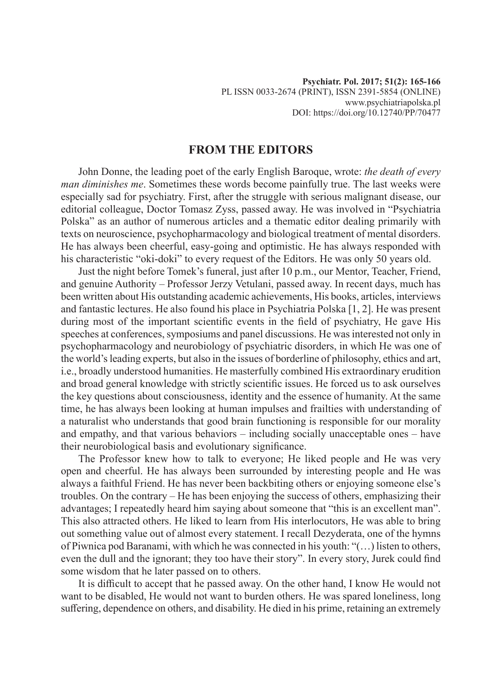## **FROM THE EDITORS**

John Donne, the leading poet of the early English Baroque, wrote: *the death of every man diminishes me*. Sometimes these words become painfully true. The last weeks were especially sad for psychiatry. First, after the struggle with serious malignant disease, our editorial colleague, Doctor Tomasz Zyss, passed away. He was involved in "Psychiatria Polska" as an author of numerous articles and a thematic editor dealing primarily with texts on neuroscience, psychopharmacology and biological treatment of mental disorders. He has always been cheerful, easy-going and optimistic. He has always responded with his characteristic "oki-doki" to every request of the Editors. He was only 50 years old.

Just the night before Tomek's funeral, just after 10 p.m., our Mentor, Teacher, Friend, and genuine Authority – Professor Jerzy Vetulani, passed away. In recent days, much has been written about His outstanding academic achievements, His books, articles, interviews and fantastic lectures. He also found his place in Psychiatria Polska [1, 2]. He was present during most of the important scientific events in the field of psychiatry, He gave His speeches at conferences, symposiums and panel discussions. He was interested not only in psychopharmacology and neurobiology of psychiatric disorders, in which He was one of the world's leading experts, but also in the issues of borderline of philosophy, ethics and art, i.e., broadly understood humanities. He masterfully combined His extraordinary erudition and broad general knowledge with strictly scientific issues. He forced us to ask ourselves the key questions about consciousness, identity and the essence of humanity. At the same time, he has always been looking at human impulses and frailties with understanding of a naturalist who understands that good brain functioning is responsible for our morality and empathy, and that various behaviors – including socially unacceptable ones – have their neurobiological basis and evolutionary significance.

The Professor knew how to talk to everyone; He liked people and He was very open and cheerful. He has always been surrounded by interesting people and He was always a faithful Friend. He has never been backbiting others or enjoying someone else's troubles. On the contrary – He has been enjoying the success of others, emphasizing their advantages; I repeatedly heard him saying about someone that "this is an excellent man". This also attracted others. He liked to learn from His interlocutors, He was able to bring out something value out of almost every statement. I recall Dezyderata, one of the hymns of Piwnica pod Baranami, with which he was connected in his youth: "(…) listen to others, even the dull and the ignorant; they too have their story". In every story, Jurek could find some wisdom that he later passed on to others.

It is difficult to accept that he passed away. On the other hand, I know He would not want to be disabled, He would not want to burden others. He was spared loneliness, long suffering, dependence on others, and disability. He died in his prime, retaining an extremely